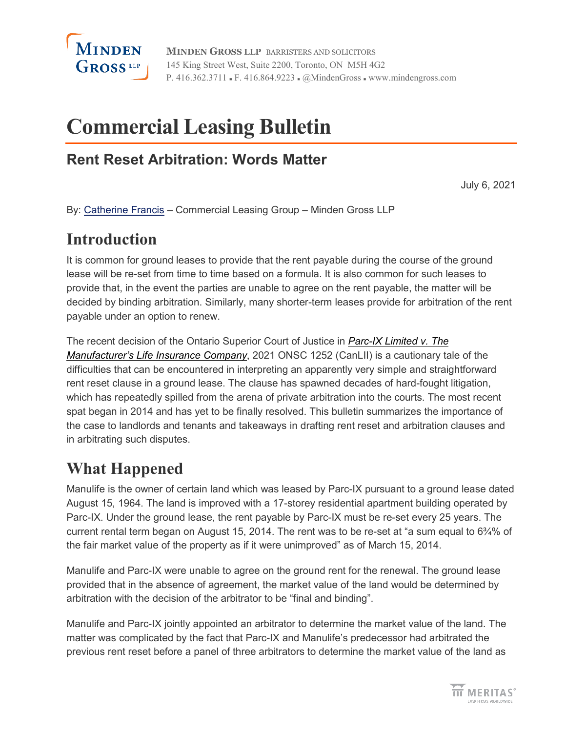

**MINDEN GROSS LLP** BARRISTERS AND SOLICITORS 145 King Street West, Suite 2200, Toronto, ON M5H 4G2 P. 416.362.3711 • F. 416.864.9223 • @MindenGross • www.mindengross.com

# **Commercial Leasing Bulletin**

### **Rent Reset Arbitration: Words Matter**

July 6, 2021

By: [Catherine Francis](https://www.mindengross.com/our-people/details/catherine-francis) – Commercial Leasing Group – Minden Gross LLP

# **Introduction**

It is common for ground leases to provide that the rent payable during the course of the ground lease will be re-set from time to time based on a formula. It is also common for such leases to provide that, in the event the parties are unable to agree on the rent payable, the matter will be decided by binding arbitration. Similarly, many shorter-term leases provide for arbitration of the rent payable under an option to renew.

The recent decision of the Ontario Superior Court of Justice in *[Parc-IX Limited v. The](https://canlii.ca/t/jdgd7)  [Manufacturer's Life Insurance Company](https://canlii.ca/t/jdgd7)*, 2021 ONSC 1252 (CanLII) is a cautionary tale of the difficulties that can be encountered in interpreting an apparently very simple and straightforward rent reset clause in a ground lease. The clause has spawned decades of hard-fought litigation, which has repeatedly spilled from the arena of private arbitration into the courts. The most recent spat began in 2014 and has yet to be finally resolved. This bulletin summarizes the importance of the case to landlords and tenants and takeaways in drafting rent reset and arbitration clauses and in arbitrating such disputes.

# **What Happened**

Manulife is the owner of certain land which was leased by Parc-IX pursuant to a ground lease dated August 15, 1964. The land is improved with a 17-storey residential apartment building operated by Parc-IX. Under the ground lease, the rent payable by Parc-IX must be re-set every 25 years. The current rental term began on August 15, 2014. The rent was to be re-set at "a sum equal to 6¾% of the fair market value of the property as if it were unimproved" as of March 15, 2014.

Manulife and Parc-IX were unable to agree on the ground rent for the renewal. The ground lease provided that in the absence of agreement, the market value of the land would be determined by arbitration with the decision of the arbitrator to be "final and binding".

Manulife and Parc-IX jointly appointed an arbitrator to determine the market value of the land. The matter was complicated by the fact that Parc-IX and Manulife's predecessor had arbitrated the previous rent reset before a panel of three arbitrators to determine the market value of the land as

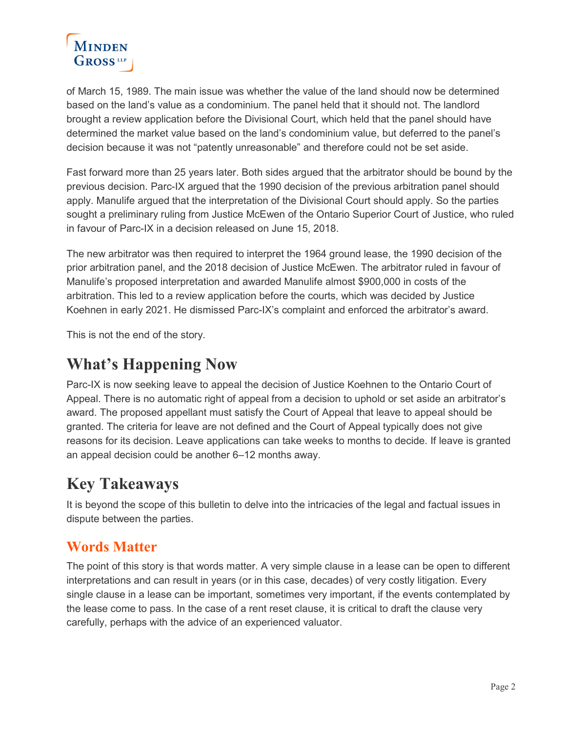

of March 15, 1989. The main issue was whether the value of the land should now be determined based on the land's value as a condominium. The panel held that it should not. The landlord brought a review application before the Divisional Court, which held that the panel should have determined the market value based on the land's condominium value, but deferred to the panel's decision because it was not "patently unreasonable" and therefore could not be set aside.

Fast forward more than 25 years later. Both sides argued that the arbitrator should be bound by the previous decision. Parc-IX argued that the 1990 decision of the previous arbitration panel should apply. Manulife argued that the interpretation of the Divisional Court should apply. So the parties sought a preliminary ruling from Justice McEwen of the Ontario Superior Court of Justice, who ruled in favour of Parc-IX in a decision released on June 15, 2018.

The new arbitrator was then required to interpret the 1964 ground lease, the 1990 decision of the prior arbitration panel, and the 2018 decision of Justice McEwen. The arbitrator ruled in favour of Manulife's proposed interpretation and awarded Manulife almost \$900,000 in costs of the arbitration. This led to a review application before the courts, which was decided by Justice Koehnen in early 2021. He dismissed Parc-IX's complaint and enforced the arbitrator's award.

This is not the end of the story.

## **What's Happening Now**

Parc-IX is now seeking leave to appeal the decision of Justice Koehnen to the Ontario Court of Appeal. There is no automatic right of appeal from a decision to uphold or set aside an arbitrator's award. The proposed appellant must satisfy the Court of Appeal that leave to appeal should be granted. The criteria for leave are not defined and the Court of Appeal typically does not give reasons for its decision. Leave applications can take weeks to months to decide. If leave is granted an appeal decision could be another 6–12 months away.

# **Key Takeaways**

It is beyond the scope of this bulletin to delve into the intricacies of the legal and factual issues in dispute between the parties.

### **Words Matter**

The point of this story is that words matter. A very simple clause in a lease can be open to different interpretations and can result in years (or in this case, decades) of very costly litigation. Every single clause in a lease can be important, sometimes very important, if the events contemplated by the lease come to pass. In the case of a rent reset clause, it is critical to draft the clause very carefully, perhaps with the advice of an experienced valuator.